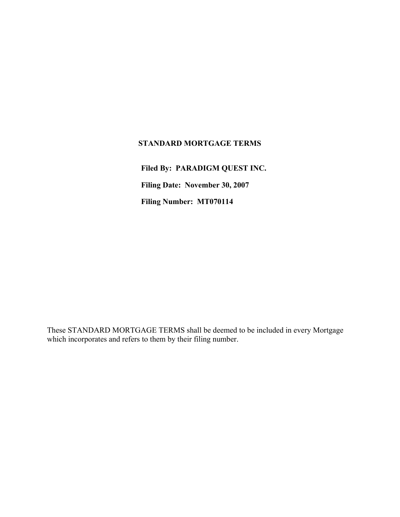## **STANDARD MORTGAGE TERMS**

**Filed By: PARADIGM QUEST INC. Filing Date: November 30, 2007 Filing Number: MT070114**

These STANDARD MORTGAGE TERMS shall be deemed to be included in every Mortgage which incorporates and refers to them by their filing number.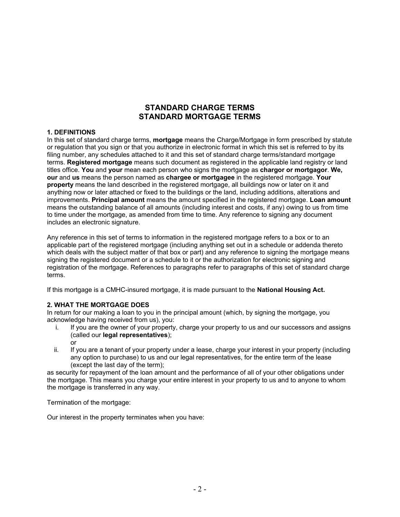# **STANDARD CHARGE TERMS STANDARD MORTGAGE TERMS**

## **1. DEFINITIONS**

In this set of standard charge terms, **mortgage** means the Charge/Mortgage in form prescribed by statute or regulation that you sign or that you authorize in electronic format in which this set is referred to by its filing number, any schedules attached to it and this set of standard charge terms/standard mortgage terms. **Registered mortgage** means such document as registered in the applicable land registry or land titles office. **You** and **your** mean each person who signs the mortgage as **chargor or mortgagor**. **We, our** and **us** means the person named as **chargee or mortgagee** in the registered mortgage. **Your property** means the land described in the registered mortgage, all buildings now or later on it and anything now or later attached or fixed to the buildings or the land, including additions, alterations and improvements. **Principal amount** means the amount specified in the registered mortgage. **Loan amount**  means the outstanding balance of all amounts (including interest and costs, if any) owing to us from time to time under the mortgage, as amended from time to time. Any reference to signing any document includes an electronic signature.

Any reference in this set of terms to information in the registered mortgage refers to a box or to an applicable part of the registered mortgage (including anything set out in a schedule or addenda thereto which deals with the subject matter of that box or part) and any reference to signing the mortgage means signing the registered document or a schedule to it or the authorization for electronic signing and registration of the mortgage. References to paragraphs refer to paragraphs of this set of standard charge terms.

If this mortgage is a CMHC-insured mortgage, it is made pursuant to the **National Housing Act.** 

### **2. WHAT THE MORTGAGE DOES**

In return for our making a loan to you in the principal amount (which, by signing the mortgage, you acknowledge having received from us), you:

- i. If you are the owner of your property, charge your property to us and our successors and assigns (called our **legal representatives**); or
- ii. If you are a tenant of your property under a lease, charge your interest in your property (including any option to purchase) to us and our legal representatives, for the entire term of the lease (except the last day of the term);

as security for repayment of the loan amount and the performance of all of your other obligations under the mortgage. This means you charge your entire interest in your property to us and to anyone to whom the mortgage is transferred in any way.

Termination of the mortgage:

Our interest in the property terminates when you have: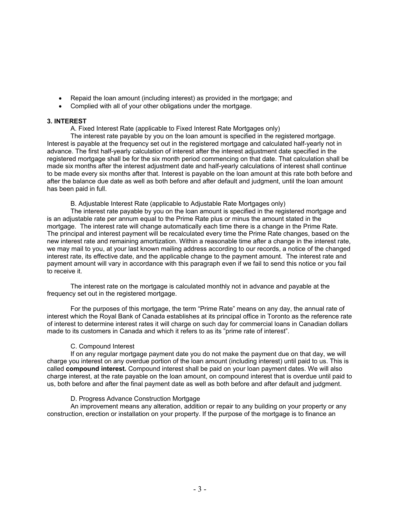- Repaid the loan amount (including interest) as provided in the mortgage; and
- Complied with all of your other obligations under the mortgage.

#### **3. INTEREST**

A. Fixed Interest Rate (applicable to Fixed Interest Rate Mortgages only)

The interest rate payable by you on the loan amount is specified in the registered mortgage. Interest is payable at the frequency set out in the registered mortgage and calculated half-yearly not in advance. The first half-yearly calculation of interest after the interest adjustment date specified in the registered mortgage shall be for the six month period commencing on that date. That calculation shall be made six months after the interest adjustment date and half-yearly calculations of interest shall continue to be made every six months after that. Interest is payable on the loan amount at this rate both before and after the balance due date as well as both before and after default and judgment, until the loan amount has been paid in full.

B. Adjustable Interest Rate (applicable to Adjustable Rate Mortgages only)

The interest rate payable by you on the loan amount is specified in the registered mortgage and is an adjustable rate per annum equal to the Prime Rate plus or minus the amount stated in the mortgage. The interest rate will change automatically each time there is a change in the Prime Rate. The principal and interest payment will be recalculated every time the Prime Rate changes, based on the new interest rate and remaining amortization. Within a reasonable time after a change in the interest rate, we may mail to you, at your last known mailing address according to our records, a notice of the changed interest rate, its effective date, and the applicable change to the payment amount. The interest rate and payment amount will vary in accordance with this paragraph even if we fail to send this notice or you fail to receive it.

The interest rate on the mortgage is calculated monthly not in advance and payable at the frequency set out in the registered mortgage.

For the purposes of this mortgage, the term "Prime Rate" means on any day, the annual rate of interest which the Royal Bank of Canada establishes at its principal office in Toronto as the reference rate of interest to determine interest rates it will charge on such day for commercial loans in Canadian dollars made to its customers in Canada and which it refers to as its "prime rate of interest".

### C. Compound Interest

If on any regular mortgage payment date you do not make the payment due on that day, we will charge you interest on any overdue portion of the loan amount (including interest) until paid to us. This is called **compound interest.** Compound interest shall be paid on your loan payment dates. We will also charge interest, at the rate payable on the loan amount, on compound interest that is overdue until paid to us, both before and after the final payment date as well as both before and after default and judgment.

### D. Progress Advance Construction Mortgage

An improvement means any alteration, addition or repair to any building on your property or any construction, erection or installation on your property. If the purpose of the mortgage is to finance an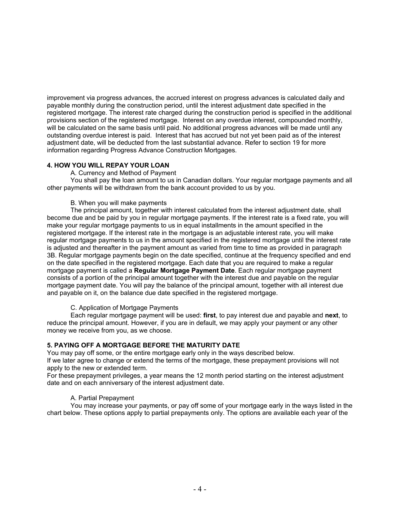improvement via progress advances, the accrued interest on progress advances is calculated daily and payable monthly during the construction period, until the interest adjustment date specified in the registered mortgage. The interest rate charged during the construction period is specified in the additional provisions section of the registered mortgage. Interest on any overdue interest, compounded monthly, will be calculated on the same basis until paid. No additional progress advances will be made until any outstanding overdue interest is paid. Interest that has accrued but not yet been paid as of the interest adjustment date, will be deducted from the last substantial advance. Refer to section 19 for more information regarding Progress Advance Construction Mortgages.

### **4. HOW YOU WILL REPAY YOUR LOAN**

A. Currency and Method of Payment

You shall pay the loan amount to us in Canadian dollars. Your regular mortgage payments and all other payments will be withdrawn from the bank account provided to us by you.

### B. When you will make payments

The principal amount, together with interest calculated from the interest adjustment date, shall become due and be paid by you in regular mortgage payments. If the interest rate is a fixed rate, you will make your regular mortgage payments to us in equal installments in the amount specified in the registered mortgage. If the interest rate in the mortgage is an adjustable interest rate, you will make regular mortgage payments to us in the amount specified in the registered mortgage until the interest rate is adjusted and thereafter in the payment amount as varied from time to time as provided in paragraph 3B. Regular mortgage payments begin on the date specified, continue at the frequency specified and end on the date specified in the registered mortgage. Each date that you are required to make a regular mortgage payment is called a **Regular Mortgage Payment Date**. Each regular mortgage payment consists of a portion of the principal amount together with the interest due and payable on the regular mortgage payment date. You will pay the balance of the principal amount, together with all interest due and payable on it, on the balance due date specified in the registered mortgage.

C. Application of Mortgage Payments

Each regular mortgage payment will be used: **first**, to pay interest due and payable and **next**, to reduce the principal amount. However, if you are in default, we may apply your payment or any other money we receive from you, as we choose.

### **5. PAYING OFF A MORTGAGE BEFORE THE MATURITY DATE**

You may pay off some, or the entire mortgage early only in the ways described below. If we later agree to change or extend the terms of the mortgage, these prepayment provisions will not apply to the new or extended term.

For these prepayment privileges, a year means the 12 month period starting on the interest adjustment date and on each anniversary of the interest adjustment date.

### A. Partial Prepayment

You may increase your payments, or pay off some of your mortgage early in the ways listed in the chart below. These options apply to partial prepayments only. The options are available each year of the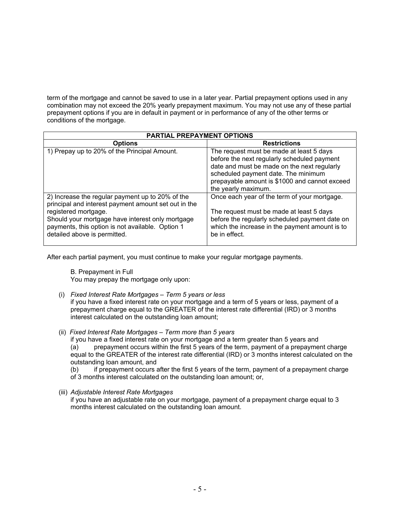term of the mortgage and cannot be saved to use in a later year. Partial prepayment options used in any combination may not exceed the 20% yearly prepayment maximum. You may not use any of these partial prepayment options if you are in default in payment or in performance of any of the other terms or conditions of the mortgage.

| <b>PARTIAL PREPAYMENT OPTIONS</b>                                                                                                                                                                                                                                        |                                                                                                                                                                                                                                                       |  |  |  |  |
|--------------------------------------------------------------------------------------------------------------------------------------------------------------------------------------------------------------------------------------------------------------------------|-------------------------------------------------------------------------------------------------------------------------------------------------------------------------------------------------------------------------------------------------------|--|--|--|--|
| <b>Options</b>                                                                                                                                                                                                                                                           | <b>Restrictions</b>                                                                                                                                                                                                                                   |  |  |  |  |
| 1) Prepay up to 20% of the Principal Amount.                                                                                                                                                                                                                             | The request must be made at least 5 days<br>before the next regularly scheduled payment<br>date and must be made on the next regularly<br>scheduled payment date. The minimum<br>prepayable amount is \$1000 and cannot exceed<br>the yearly maximum. |  |  |  |  |
| 2) Increase the regular payment up to 20% of the<br>principal and interest payment amount set out in the<br>registered mortgage.<br>Should your mortgage have interest only mortgage<br>payments, this option is not available. Option 1<br>detailed above is permitted. | Once each year of the term of your mortgage.<br>The request must be made at least 5 days<br>before the regularly scheduled payment date on<br>which the increase in the payment amount is to<br>be in effect.                                         |  |  |  |  |

After each partial payment, you must continue to make your regular mortgage payments.

B. Prepayment in Full You may prepay the mortgage only upon:

(i) *Fixed Interest Rate Mortgages – Term 5 years or less* 

if you have a fixed interest rate on your mortgage and a term of 5 years or less, payment of a prepayment charge equal to the GREATER of the interest rate differential (IRD) or 3 months interest calculated on the outstanding loan amount;

(ii) *Fixed Interest Rate Mortgages – Term more than 5 years*

if you have a fixed interest rate on your mortgage and a term greater than 5 years and (a) prepayment occurs within the first 5 years of the term, payment of a prepayment charge equal to the GREATER of the interest rate differential (IRD) or 3 months interest calculated on the outstanding loan amount, and

(b) if prepayment occurs after the first 5 years of the term, payment of a prepayment charge of 3 months interest calculated on the outstanding loan amount; or,

(iii) *Adjustable Interest Rate Mortgages* 

if you have an adjustable rate on your mortgage, payment of a prepayment charge equal to 3 months interest calculated on the outstanding loan amount.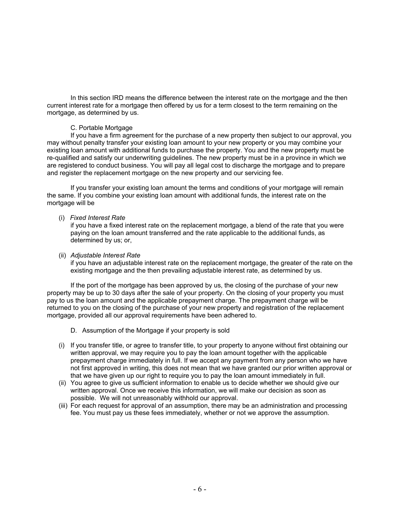In this section IRD means the difference between the interest rate on the mortgage and the then current interest rate for a mortgage then offered by us for a term closest to the term remaining on the mortgage, as determined by us.

### C. Portable Mortgage

If you have a firm agreement for the purchase of a new property then subject to our approval, you may without penalty transfer your existing loan amount to your new property or you may combine your existing loan amount with additional funds to purchase the property. You and the new property must be re-qualified and satisfy our underwriting guidelines. The new property must be in a province in which we are registered to conduct business. You will pay all legal cost to discharge the mortgage and to prepare and register the replacement mortgage on the new property and our servicing fee.

If you transfer your existing loan amount the terms and conditions of your mortgage will remain the same. If you combine your existing loan amount with additional funds, the interest rate on the mortgage will be

#### (i) *Fixed Interest Rate*

if you have a fixed interest rate on the replacement mortgage, a blend of the rate that you were paying on the loan amount transferred and the rate applicable to the additional funds, as determined by us; or,

#### (ii) *Adjustable Interest Rate*

if you have an adjustable interest rate on the replacement mortgage, the greater of the rate on the existing mortgage and the then prevailing adjustable interest rate, as determined by us.

If the port of the mortgage has been approved by us, the closing of the purchase of your new property may be up to 30 days after the sale of your property. On the closing of your property you must pay to us the loan amount and the applicable prepayment charge. The prepayment charge will be returned to you on the closing of the purchase of your new property and registration of the replacement mortgage, provided all our approval requirements have been adhered to.

- D. Assumption of the Mortgage if your property is sold
- (i) If you transfer title, or agree to transfer title, to your property to anyone without first obtaining our written approval, we may require you to pay the loan amount together with the applicable prepayment charge immediately in full. If we accept any payment from any person who we have not first approved in writing, this does not mean that we have granted our prior written approval or that we have given up our right to require you to pay the loan amount immediately in full.
- (ii) You agree to give us sufficient information to enable us to decide whether we should give our written approval. Once we receive this information, we will make our decision as soon as possible. We will not unreasonably withhold our approval.
- (iii) For each request for approval of an assumption, there may be an administration and processing fee. You must pay us these fees immediately, whether or not we approve the assumption.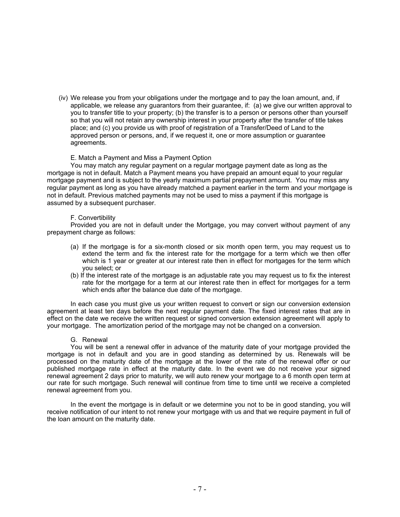(iv) We release you from your obligations under the mortgage and to pay the loan amount, and, if applicable, we release any guarantors from their guarantee, if: (a) we give our written approval to you to transfer title to your property; (b) the transfer is to a person or persons other than yourself so that you will not retain any ownership interest in your property after the transfer of title takes place; and (c) you provide us with proof of registration of a Transfer/Deed of Land to the approved person or persons, and, if we request it, one or more assumption or guarantee agreements.

#### E. Match a Payment and Miss a Payment Option

You may match any regular payment on a regular mortgage payment date as long as the mortgage is not in default. Match a Payment means you have prepaid an amount equal to your regular mortgage payment and is subject to the yearly maximum partial prepayment amount. You may miss any regular payment as long as you have already matched a payment earlier in the term and your mortgage is not in default. Previous matched payments may not be used to miss a payment if this mortgage is assumed by a subsequent purchaser.

#### F. Convertibility

Provided you are not in default under the Mortgage, you may convert without payment of any prepayment charge as follows:

- (a) If the mortgage is for a six-month closed or six month open term, you may request us to extend the term and fix the interest rate for the mortgage for a term which we then offer which is 1 year or greater at our interest rate then in effect for mortgages for the term which you select; or
- (b) If the interest rate of the mortgage is an adjustable rate you may request us to fix the interest rate for the mortgage for a term at our interest rate then in effect for mortgages for a term which ends after the balance due date of the mortgage.

In each case you must give us your written request to convert or sign our conversion extension agreement at least ten days before the next regular payment date. The fixed interest rates that are in effect on the date we receive the written request or signed conversion extension agreement will apply to your mortgage. The amortization period of the mortgage may not be changed on a conversion.

#### G. Renewal

You will be sent a renewal offer in advance of the maturity date of your mortgage provided the mortgage is not in default and you are in good standing as determined by us. Renewals will be processed on the maturity date of the mortgage at the lower of the rate of the renewal offer or our published mortgage rate in effect at the maturity date. In the event we do not receive your signed renewal agreement 2 days prior to maturity, we will auto renew your mortgage to a 6 month open term at our rate for such mortgage. Such renewal will continue from time to time until we receive a completed renewal agreement from you.

In the event the mortgage is in default or we determine you not to be in good standing, you will receive notification of our intent to not renew your mortgage with us and that we require payment in full of the loan amount on the maturity date.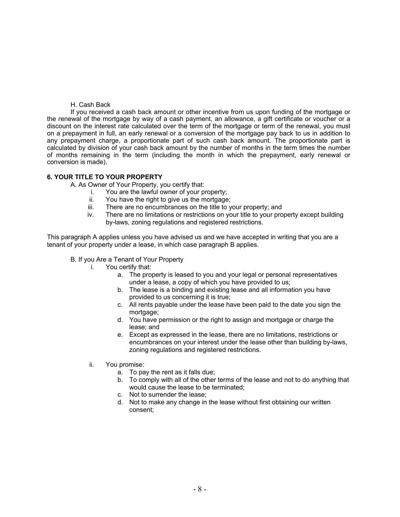### H. Cash Back

 If you received a cash back amount or other incentive from us upon funding of the mortgage or the renewal of the mortgage by way of a cash payment, an allowance, a gift certificate or voucher or a discount on the interest rate calculated over the term of the mortgage or term of the renewal, you must on a prepayment in full, an early renewal or a conversion of the mortgage pay back to us in addition to any prepayment charge, a proportionate part of such cash back amount. The proportionate part is calculated by division of your cash back amount by the number of months in the term times the number of months remaining in the term (including the month in which the prepayment, early renewal or conversion is made).

### **6. YOUR TITLE TO YOUR PROPERTY**

A. As Owner of Your Property, you certify that:

- i. You are the lawful owner of your property;
- ii. You have the right to give us the mortgage;
- iii. There are no encumbrances on the title to your property; and
- iv. There are no limitations or restrictions on your title to your property except building by-laws, zoning regulations and registered restrictions.

This paragraph A applies unless you have advised us and we have accepted in writing that you are a tenant of your property under a lease, in which case paragraph B applies.

#### B. If you Are a Tenant of Your Property

- i. You certify that:
	- a. The property is leased to you and your legal or personal representatives under a lease, a copy of which you have provided to us;
	- b. The lease is a binding and existing lease and all information you have provided to us concerning it is true;
	- c. All rents payable under the lease have been paid to the date you sign the mortgage;
	- d. You have permission or the right to assign and mortgage or charge the lease; and
	- e. Except as expressed in the lease, there are no limitations, restrictions or encumbrances on your interest under the lease other than building by-laws, zoning regulations and registered restrictions.
- ii. You promise:
	- a. To pay the rent as it falls due;
	- b. To comply with all of the other terms of the lease and not to do anything that would cause the lease to be terminated;
	- c. Not to surrender the lease;
	- d. Not to make any change in the lease without first obtaining our written consent;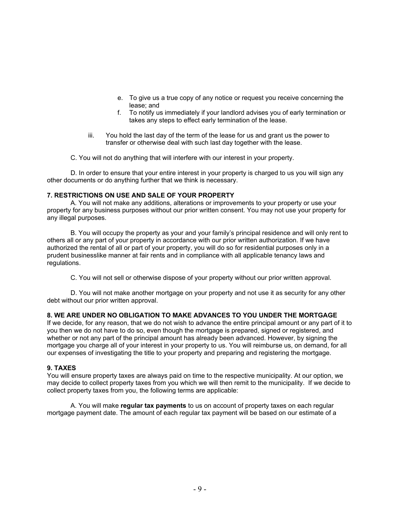- e. To give us a true copy of any notice or request you receive concerning the lease; and
- f. To notify us immediately if your landlord advises you of early termination or takes any steps to effect early termination of the lease.
- iii. You hold the last day of the term of the lease for us and grant us the power to transfer or otherwise deal with such last day together with the lease.

C. You will not do anything that will interfere with our interest in your property.

D. In order to ensure that your entire interest in your property is charged to us you will sign any other documents or do anything further that we think is necessary.

### **7. RESTRICTIONS ON USE AND SALE OF YOUR PROPERTY**

A. You will not make any additions, alterations or improvements to your property or use your property for any business purposes without our prior written consent. You may not use your property for any illegal purposes.

B. You will occupy the property as your and your family's principal residence and will only rent to others all or any part of your property in accordance with our prior written authorization. If we have authorized the rental of all or part of your property, you will do so for residential purposes only in a prudent businesslike manner at fair rents and in compliance with all applicable tenancy laws and regulations.

C. You will not sell or otherwise dispose of your property without our prior written approval.

D. You will not make another mortgage on your property and not use it as security for any other debt without our prior written approval.

### **8. WE ARE UNDER NO OBLIGATION TO MAKE ADVANCES TO YOU UNDER THE MORTGAGE**

If we decide, for any reason, that we do not wish to advance the entire principal amount or any part of it to you then we do not have to do so, even though the mortgage is prepared, signed or registered, and whether or not any part of the principal amount has already been advanced. However, by signing the mortgage you charge all of your interest in your property to us. You will reimburse us, on demand, for all our expenses of investigating the title to your property and preparing and registering the mortgage.

### **9. TAXES**

You will ensure property taxes are always paid on time to the respective municipality. At our option, we may decide to collect property taxes from you which we will then remit to the municipality. If we decide to collect property taxes from you, the following terms are applicable:

A. You will make **regular tax payments** to us on account of property taxes on each regular mortgage payment date. The amount of each regular tax payment will be based on our estimate of a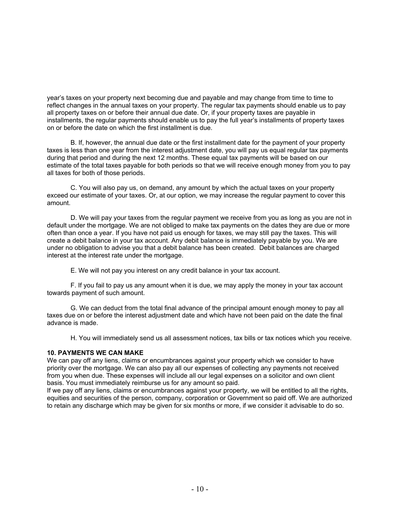year's taxes on your property next becoming due and payable and may change from time to time to reflect changes in the annual taxes on your property. The regular tax payments should enable us to pay all property taxes on or before their annual due date. Or, if your property taxes are payable in installments, the regular payments should enable us to pay the full year's installments of property taxes on or before the date on which the first installment is due.

B. If, however, the annual due date or the first installment date for the payment of your property taxes is less than one year from the interest adjustment date, you will pay us equal regular tax payments during that period and during the next 12 months. These equal tax payments will be based on our estimate of the total taxes payable for both periods so that we will receive enough money from you to pay all taxes for both of those periods.

C. You will also pay us, on demand, any amount by which the actual taxes on your property exceed our estimate of your taxes. Or, at our option, we may increase the regular payment to cover this amount.

D. We will pay your taxes from the regular payment we receive from you as long as you are not in default under the mortgage. We are not obliged to make tax payments on the dates they are due or more often than once a year. If you have not paid us enough for taxes, we may still pay the taxes. This will create a debit balance in your tax account. Any debit balance is immediately payable by you. We are under no obligation to advise you that a debit balance has been created. Debit balances are charged interest at the interest rate under the mortgage.

E. We will not pay you interest on any credit balance in your tax account.

F. If you fail to pay us any amount when it is due, we may apply the money in your tax account towards payment of such amount.

G. We can deduct from the total final advance of the principal amount enough money to pay all taxes due on or before the interest adjustment date and which have not been paid on the date the final advance is made.

H. You will immediately send us all assessment notices, tax bills or tax notices which you receive.

### **10. PAYMENTS WE CAN MAKE**

We can pay off any liens, claims or encumbrances against your property which we consider to have priority over the mortgage. We can also pay all our expenses of collecting any payments not received from you when due. These expenses will include all our legal expenses on a solicitor and own client basis. You must immediately reimburse us for any amount so paid.

If we pay off any liens, claims or encumbrances against your property, we will be entitled to all the rights, equities and securities of the person, company, corporation or Government so paid off. We are authorized to retain any discharge which may be given for six months or more, if we consider it advisable to do so.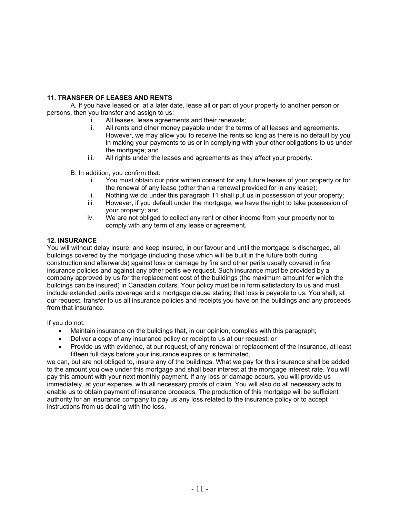## **11. TRANSFER OF LEASES AND RENTS**

A. If you have leased or, at a later date, lease all or part of your property to another person or persons, then you transfer and assign to us:

- i. All leases, lease agreements and their renewals;
- ii. All rents and other money payable under the terms of all leases and agreements. However, we may allow you to receive the rents so long as there is no default by you in making your payments to us or in complying with your other obligations to us under the mortgage; and
- iii. All rights under the leases and agreements as they affect your property.
- B. In addition, you confirm that:
	- i. You must obtain our prior written consent for any future leases of your property or for the renewal of any lease (other than a renewal provided for in any lease);
	- ii. Nothing we do under this paragraph 11 shall put us in possession of your property;<br>iii. However. if you default under the mortgage, we have the right to take possession of
	- However, if you default under the mortgage, we have the right to take possession of your property; and
	- iv. We are not obliged to collect any rent or other income from your property nor to comply with any term of any lease or agreement.

## **12. INSURANCE**

You will without delay insure, and keep insured, in our favour and until the mortgage is discharged, all buildings covered by the mortgage (including those which will be built in the future both during construction and afterwards) against loss or damage by fire and other perils usually covered in fire insurance policies and against any other perils we request. Such insurance must be provided by a company approved by us for the replacement cost of the buildings (the maximum amount for which the buildings can be insured) in Canadian dollars. Your policy must be in form satisfactory to us and must include extended perils coverage and a mortgage clause stating that loss is payable to us. You shall, at our request, transfer to us all insurance policies and receipts you have on the buildings and any proceeds from that insurance.

If you do not:

- Maintain insurance on the buildings that, in our opinion, complies with this paragraph;
- Deliver a copy of any insurance policy or receipt to us at our request; or
- Provide us with evidence, at our request, of any renewal or replacement of the insurance, at least fifteen full days before your insurance expires or is terminated,

we can, but are not obliged to, insure any of the buildings. What we pay for this insurance shall be added to the amount you owe under this mortgage and shall bear interest at the mortgage interest rate. You will pay this amount with your next monthly payment. If any loss or damage occurs, you will provide us immediately, at your expense, with all necessary proofs of claim. You will also do all necessary acts to enable us to obtain payment of insurance proceeds. The production of this mortgage will be sufficient authority for an insurance company to pay us any loss related to the insurance policy or to accept instructions from us dealing with the loss.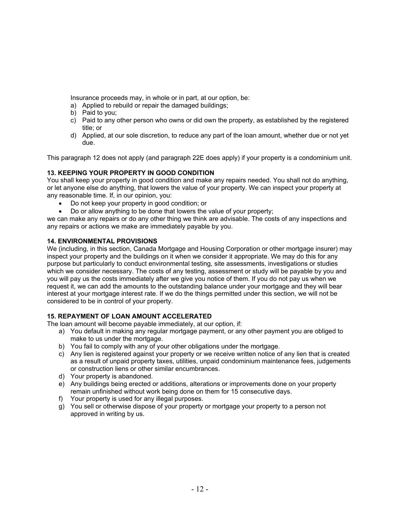Insurance proceeds may, in whole or in part, at our option, be:

- a) Applied to rebuild or repair the damaged buildings;
- b) Paid to you;
- c) Paid to any other person who owns or did own the property, as established by the registered title; or
- d) Applied, at our sole discretion, to reduce any part of the loan amount, whether due or not yet due.

This paragraph 12 does not apply (and paragraph 22E does apply) if your property is a condominium unit.

## **13. KEEPING YOUR PROPERTY IN GOOD CONDITION**

You shall keep your property in good condition and make any repairs needed. You shall not do anything, or let anyone else do anything, that lowers the value of your property. We can inspect your property at any reasonable time. If, in our opinion, you:

- Do not keep your property in good condition; or
- Do or allow anything to be done that lowers the value of your property;

we can make any repairs or do any other thing we think are advisable. The costs of any inspections and any repairs or actions we make are immediately payable by you.

## **14. ENVIRONMENTAL PROVISIONS**

We (including, in this section, Canada Mortgage and Housing Corporation or other mortgage insurer) may inspect your property and the buildings on it when we consider it appropriate. We may do this for any purpose but particularly to conduct environmental testing, site assessments, investigations or studies which we consider necessary. The costs of any testing, assessment or study will be payable by you and you will pay us the costs immediately after we give you notice of them. If you do not pay us when we request it, we can add the amounts to the outstanding balance under your mortgage and they will bear interest at your mortgage interest rate. If we do the things permitted under this section, we will not be considered to be in control of your property.

## **15. REPAYMENT OF LOAN AMOUNT ACCELERATED**

The loan amount will become payable immediately, at our option, if:

- a) You default in making any regular mortgage payment, or any other payment you are obliged to make to us under the mortgage.
- b) You fail to comply with any of your other obligations under the mortgage.
- c) Any lien is registered against your property or we receive written notice of any lien that is created as a result of unpaid property taxes, utilities, unpaid condominium maintenance fees, judgements or construction liens or other similar encumbrances.
- d) Your property is abandoned.
- e) Any buildings being erected or additions, alterations or improvements done on your property remain unfinished without work being done on them for 15 consecutive days.
- f) Your property is used for any illegal purposes.
- g) You sell or otherwise dispose of your property or mortgage your property to a person not approved in writing by us.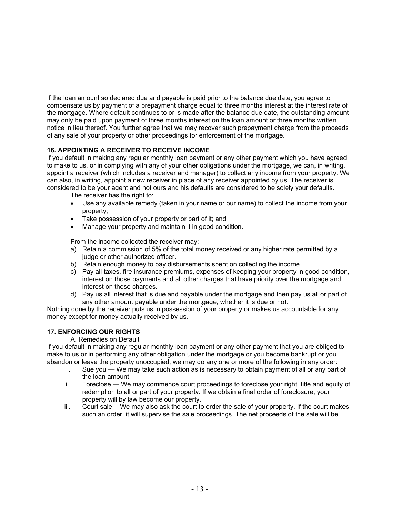If the loan amount so declared due and payable is paid prior to the balance due date, you agree to compensate us by payment of a prepayment charge equal to three months interest at the interest rate of the mortgage. Where default continues to or is made after the balance due date, the outstanding amount may only be paid upon payment of three months interest on the loan amount or three months written notice in lieu thereof. You further agree that we may recover such prepayment charge from the proceeds of any sale of your property or other proceedings for enforcement of the mortgage.

## **16. APPOINTING A RECEIVER TO RECEIVE INCOME**

If you default in making any regular monthly loan payment or any other payment which you have agreed to make to us, or in complying with any of your other obligations under the mortgage, we can, in writing, appoint a receiver (which includes a receiver and manager) to collect any income from your property. We can also, in writing, appoint a new receiver in place of any receiver appointed by us. The receiver is considered to be your agent and not ours and his defaults are considered to be solely your defaults.

- The receiver has the right to:
- Use any available remedy (taken in your name or our name) to collect the income from your property;
- Take possession of your property or part of it; and
- Manage your property and maintain it in good condition.

From the income collected the receiver may:

- a) Retain a commission of 5% of the total money received or any higher rate permitted by a judge or other authorized officer.
- b) Retain enough money to pay disbursements spent on collecting the income.
- c) Pay all taxes, fire insurance premiums, expenses of keeping your property in good condition, interest on those payments and all other charges that have priority over the mortgage and interest on those charges.
- d) Pay us all interest that is due and payable under the mortgage and then pay us all or part of any other amount payable under the mortgage, whether it is due or not.

Nothing done by the receiver puts us in possession of your property or makes us accountable for any money except for money actually received by us.

## **17. ENFORCING OUR RIGHTS**

### A. Remedies on Default

If you default in making any regular monthly loan payment or any other payment that you are obliged to make to us or in performing any other obligation under the mortgage or you become bankrupt or you abandon or leave the property unoccupied, we may do any one or more of the following in any order:

- i. Sue you We may take such action as is necessary to obtain payment of all or any part of the loan amount.
- ii. Foreclose We may commence court proceedings to foreclose your right, title and equity of redemption to all or part of your property. If we obtain a final order of foreclosure, your property will by law become our property.
- iii. Court sale -- We may also ask the court to order the sale of your property. If the court makes such an order, it will supervise the sale proceedings. The net proceeds of the sale will be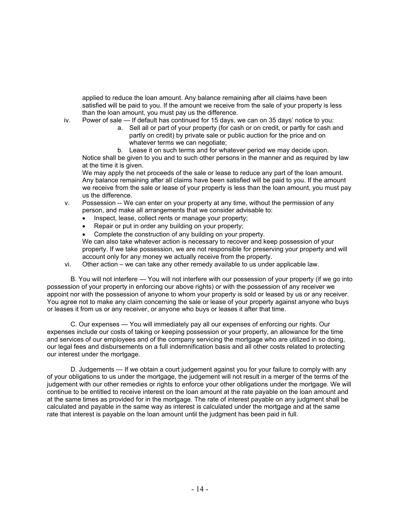applied to reduce the loan amount. Any balance remaining after all claims have been satisfied will be paid to you. If the amount we receive from the sale of your property is less than the loan amount, you must pay us the difference.

- iv. Power of sale If default has continued for 15 days, we can on 35 days' notice to you:
	- a. Sell all or part of your property (for cash or on credit, or partly for cash and partly on credit) by private sale or public auction for the price and on whatever terms we can negotiate;

b. Lease it on such terms and for whatever period we may decide upon. Notice shall be given to you and to such other persons in the manner and as required by law at the time it is given.

We may apply the net proceeds of the sale or lease to reduce any part of the loan amount. Any balance remaining after all claims have been satisfied will be paid to you. If the amount we receive from the sale or lease of your property is less than the loan amount, you must pay us the difference.

- v. Possession -- We can enter on your property at any time, without the permission of any person, and make all arrangements that we consider advisable to:
	- Inspect, lease, collect rents or manage your property;
	- Repair or put in order any building on your property;
	- Complete the construction of any building on your property.

We can also take whatever action is necessary to recover and keep possession of your property. If we take possession, we are not responsible for preserving your property and will account only for any money we actually receive from the property.

vi. Other action – we can take any other remedy available to us under applicable law.

B. You will not interfere — You will not interfere with our possession of your property (if we go into possession of your property in enforcing our above rights) or with the possession of any receiver we appoint nor with the possession of anyone to whom your property is sold or leased by us or any receiver. You agree not to make any claim concerning the sale or lease of your property against anyone who buys or leases it from us or any receiver, or anyone who buys or leases it after that time.

C. Our expenses — You will immediately pay all our expenses of enforcing our rights. Our expenses include our costs of taking or keeping possession or your property, an allowance for the time and services of our employees and of the company servicing the mortgage who are utilized in so doing, our legal fees and disbursements on a full indemnification basis and all other costs related to protecting our interest under the mortgage.

D. Judgements — If we obtain a court judgement against you for your failure to comply with any of your obligations to us under the mortgage, the judgement will not result in a merger of the terms of the judgement with our other remedies or rights to enforce your other obligations under the mortgage. We will continue to be entitled to receive interest on the loan amount at the rate payable on the loan amount and at the same times as provided for in the mortgage. The rate of interest payable on any judgment shall be calculated and payable in the same way as interest is calculated under the mortgage and at the same rate that interest is payable on the loan amount until the judgment has been paid in full.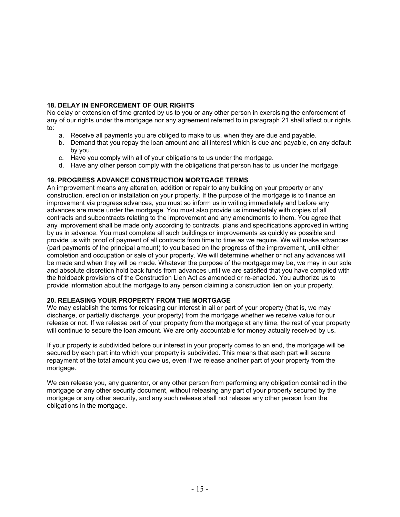## **18. DELAY IN ENFORCEMENT OF OUR RIGHTS**

No delay or extension of time granted by us to you or any other person in exercising the enforcement of any of our rights under the mortgage nor any agreement referred to in paragraph 21 shall affect our rights to:

- a. Receive all payments you are obliged to make to us, when they are due and payable.
- b. Demand that you repay the loan amount and all interest which is due and payable, on any default by you.
- c. Have you comply with all of your obligations to us under the mortgage.
- d. Have any other person comply with the obligations that person has to us under the mortgage.

### **19. PROGRESS ADVANCE CONSTRUCTION MORTGAGE TERMS**

An improvement means any alteration, addition or repair to any building on your property or any construction, erection or installation on your property. If the purpose of the mortgage is to finance an improvement via progress advances, you must so inform us in writing immediately and before any advances are made under the mortgage. You must also provide us immediately with copies of all contracts and subcontracts relating to the improvement and any amendments to them. You agree that any improvement shall be made only according to contracts, plans and specifications approved in writing by us in advance. You must complete all such buildings or improvements as quickly as possible and provide us with proof of payment of all contracts from time to time as we require. We will make advances (part payments of the principal amount) to you based on the progress of the improvement, until either completion and occupation or sale of your property. We will determine whether or not any advances will be made and when they will be made. Whatever the purpose of the mortgage may be, we may in our sole and absolute discretion hold back funds from advances until we are satisfied that you have complied with the holdback provisions of the Construction Lien Act as amended or re-enacted. You authorize us to provide information about the mortgage to any person claiming a construction lien on your property.

#### **20. RELEASING YOUR PROPERTY FROM THE MORTGAGE**

We may establish the terms for releasing our interest in all or part of your property (that is, we may discharge, or partially discharge, your property) from the mortgage whether we receive value for our release or not. If we release part of your property from the mortgage at any time, the rest of your property will continue to secure the loan amount. We are only accountable for money actually received by us.

If your property is subdivided before our interest in your property comes to an end, the mortgage will be secured by each part into which your property is subdivided. This means that each part will secure repayment of the total amount you owe us, even if we release another part of your property from the mortgage.

We can release you, any guarantor, or any other person from performing any obligation contained in the mortgage or any other security document, without releasing any part of your property secured by the mortgage or any other security, and any such release shall not release any other person from the obligations in the mortgage.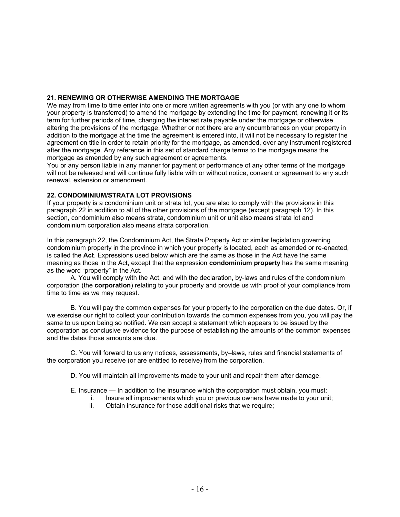### **21. RENEWING OR OTHERWISE AMENDING THE MORTGAGE**

We may from time to time enter into one or more written agreements with you (or with any one to whom your property is transferred) to amend the mortgage by extending the time for payment, renewing it or its term for further periods of time, changing the interest rate payable under the mortgage or otherwise altering the provisions of the mortgage. Whether or not there are any encumbrances on your property in addition to the mortgage at the time the agreement is entered into, it will not be necessary to register the agreement on title in order to retain priority for the mortgage, as amended, over any instrument registered after the mortgage. Any reference in this set of standard charge terms to the mortgage means the mortgage as amended by any such agreement or agreements.

You or any person liable in any manner for payment or performance of any other terms of the mortgage will not be released and will continue fully liable with or without notice, consent or agreement to any such renewal, extension or amendment.

### **22. CONDOMINIUM/STRATA LOT PROVISIONS**

If your property is a condominium unit or strata lot, you are also to comply with the provisions in this paragraph 22 in addition to all of the other provisions of the mortgage (except paragraph 12). In this section, condominium also means strata, condominium unit or unit also means strata lot and condominium corporation also means strata corporation.

In this paragraph 22, the Condominium Act, the Strata Property Act or similar legislation governing condominium property in the province in which your property is located, each as amended or re-enacted, is called the **Act**. Expressions used below which are the same as those in the Act have the same meaning as those in the Act, except that the expression **condominium property** has the same meaning as the word "property" in the Act.

A. You will comply with the Act, and with the declaration, by-laws and rules of the condominium corporation (the **corporation**) relating to your property and provide us with proof of your compliance from time to time as we may request.

B. You will pay the common expenses for your property to the corporation on the due dates. Or, if we exercise our right to collect your contribution towards the common expenses from you, you will pay the same to us upon being so notified. We can accept a statement which appears to be issued by the corporation as conclusive evidence for the purpose of establishing the amounts of the common expenses and the dates those amounts are due.

C. You will forward to us any notices, assessments, by–laws, rules and financial statements of the corporation you receive (or are entitled to receive) from the corporation.

- D. You will maintain all improvements made to your unit and repair them after damage.
- E. Insurance In addition to the insurance which the corporation must obtain, you must:
	- i. Insure all improvements which you or previous owners have made to your unit;
	- ii. Obtain insurance for those additional risks that we require;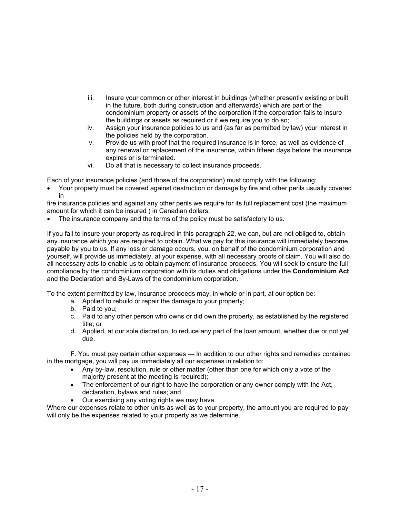- iii. Insure your common or other interest in buildings (whether presently existing or built in the future, both during construction and afterwards) which are part of the condominium property or assets of the corporation if the corporation fails to insure the buildings or assets as required or if we require you to do so;
- iv. Assign your insurance policies to us and (as far as permitted by law) your interest in the policies held by the corporation.
- v. Provide us with proof that the required insurance is in force, as well as evidence of any renewal or replacement of the insurance, within fifteen days before the insurance expires or is terminated.
- vi. Do all that is necessary to collect insurance proceeds.

Each of your insurance policies (and those of the corporation) must comply with the following:

• Your property must be covered against destruction or damage by fire and other perils usually covered in

fire insurance policies and against any other perils we require for its full replacement cost (the maximum amount for which it can be insured ) in Canadian dollars;

The insurance company and the terms of the policy must be satisfactory to us.

If you fail to insure your property as required in this paragraph 22, we can, but are not obliged to, obtain any insurance which you are required to obtain. What we pay for this insurance will immediately become payable by you to us. If any loss or damage occurs, you, on behalf of the condominium corporation and yourself, will provide us immediately, at your expense, with all necessary proofs of claim. You will also do all necessary acts to enable us to obtain payment of insurance proceeds. You will seek to ensure the full compliance by the condominium corporation with its duties and obligations under the **Condominium Act**  and the Declaration and By-Laws of the condominium corporation.

To the extent permitted by law, insurance proceeds may, in whole or in part, at our option be:

- a. Applied to rebuild or repair the damage to your property;
- b. Paid to you;
- c. Paid to any other person who owns or did own the property, as established by the registered title; or
- d. Applied, at our sole discretion, to reduce any part of the loan amount, whether due or not yet due.

F. You must pay certain other expenses — In addition to our other rights and remedies contained in the mortgage, you will pay us immediately all our expenses in relation to:

- Any by-law, resolution, rule or other matter (other than one for which only a vote of the majority present at the meeting is required);
- The enforcement of our right to have the corporation or any owner comply with the Act, declaration, bylaws and rules; and
- Our exercising any voting rights we may have.

Where our expenses relate to other units as well as to your property, the amount you are required to pay will only be the expenses related to your property as we determine.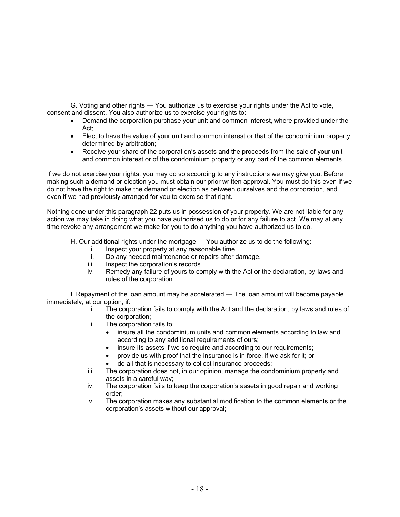G. Voting and other rights — You authorize us to exercise your rights under the Act to vote, consent and dissent. You also authorize us to exercise your rights to:

- Demand the corporation purchase your unit and common interest, where provided under the Act;
- Elect to have the value of your unit and common interest or that of the condominium property determined by arbitration;
- Receive your share of the corporation's assets and the proceeds from the sale of your unit and common interest or of the condominium property or any part of the common elements.

If we do not exercise your rights, you may do so according to any instructions we may give you. Before making such a demand or election you must obtain our prior written approval. You must do this even if we do not have the right to make the demand or election as between ourselves and the corporation, and even if we had previously arranged for you to exercise that right.

Nothing done under this paragraph 22 puts us in possession of your property. We are not liable for any action we may take in doing what you have authorized us to do or for any failure to act. We may at any time revoke any arrangement we make for you to do anything you have authorized us to do.

- H. Our additional rights under the mortgage You authorize us to do the following:
	- i. Inspect your property at any reasonable time.
	- ii. Do any needed maintenance or repairs after damage.
	- iii. Inspect the corporation's records
	- iv. Remedy any failure of yours to comply with the Act or the declaration, by-laws and rules of the corporation.

I. Repayment of the loan amount may be accelerated — The loan amount will become payable immediately, at our option, if:

- i. The corporation fails to comply with the Act and the declaration, by laws and rules of the corporation;
- ii. The corporation fails to:
	- insure all the condominium units and common elements according to law and according to any additional requirements of ours;
	- insure its assets if we so require and according to our requirements;
	- provide us with proof that the insurance is in force, if we ask for it; or
	- do all that is necessary to collect insurance proceeds;
- iii. The corporation does not, in our opinion, manage the condominium property and assets in a careful way;
- iv. The corporation fails to keep the corporation's assets in good repair and working order;
- v. The corporation makes any substantial modification to the common elements or the corporation's assets without our approval;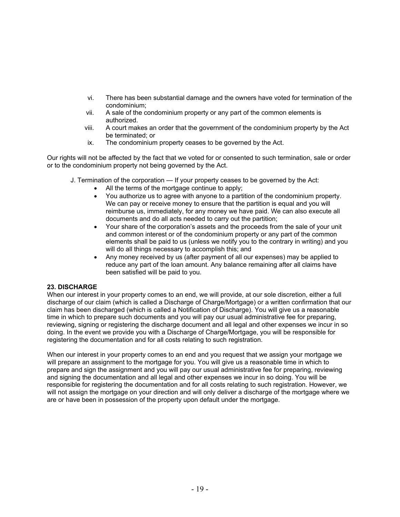- vi. There has been substantial damage and the owners have voted for termination of the condominium;
- vii. A sale of the condominium property or any part of the common elements is authorized.
- viii. A court makes an order that the government of the condominium property by the Act be terminated; or
- ix. The condominium property ceases to be governed by the Act.

Our rights will not be affected by the fact that we voted for or consented to such termination, sale or order or to the condominium property not being governed by the Act.

- J. Termination of the corporation If your property ceases to be governed by the Act:
	- All the terms of the mortgage continue to apply:
	- You authorize us to agree with anyone to a partition of the condominium property. We can pay or receive money to ensure that the partition is equal and you will reimburse us, immediately, for any money we have paid. We can also execute all documents and do all acts needed to carry out the partition;
	- Your share of the corporation's assets and the proceeds from the sale of your unit and common interest or of the condominium property or any part of the common elements shall be paid to us (unless we notify you to the contrary in writing) and you will do all things necessary to accomplish this; and
	- Any money received by us (after payment of all our expenses) may be applied to reduce any part of the loan amount. Any balance remaining after all claims have been satisfied will be paid to you.

### **23. DISCHARGE**

When our interest in your property comes to an end, we will provide, at our sole discretion, either a full discharge of our claim (which is called a Discharge of Charge/Mortgage) or a written confirmation that our claim has been discharged (which is called a Notification of Discharge). You will give us a reasonable time in which to prepare such documents and you will pay our usual administrative fee for preparing, reviewing, signing or registering the discharge document and all legal and other expenses we incur in so doing. In the event we provide you with a Discharge of Charge/Mortgage, you will be responsible for registering the documentation and for all costs relating to such registration.

When our interest in your property comes to an end and you request that we assign your mortgage we will prepare an assignment to the mortgage for you. You will give us a reasonable time in which to prepare and sign the assignment and you will pay our usual administrative fee for preparing, reviewing and signing the documentation and all legal and other expenses we incur in so doing. You will be responsible for registering the documentation and for all costs relating to such registration. However, we will not assign the mortgage on your direction and will only deliver a discharge of the mortgage where we are or have been in possession of the property upon default under the mortgage.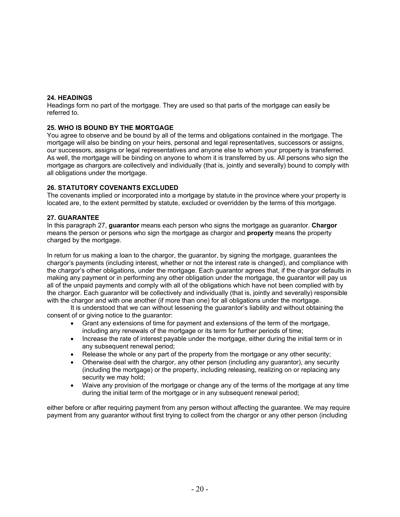### **24. HEADINGS**

Headings form no part of the mortgage. They are used so that parts of the mortgage can easily be referred to.

### **25. WHO IS BOUND BY THE MORTGAGE**

You agree to observe and be bound by all of the terms and obligations contained in the mortgage. The mortgage will also be binding on your heirs, personal and legal representatives, successors or assigns, our successors, assigns or legal representatives and anyone else to whom your property is transferred. As well, the mortgage will be binding on anyone to whom it is transferred by us. All persons who sign the mortgage as chargors are collectively and individually (that is, jointly and severally) bound to comply with all obligations under the mortgage.

### **26. STATUTORY COVENANTS EXCLUDED**

The covenants implied or incorporated into a mortgage by statute in the province where your property is located are, to the extent permitted by statute, excluded or overridden by the terms of this mortgage.

### **27. GUARANTEE**

In this paragraph 27, **guarantor** means each person who signs the mortgage as guarantor. **Chargor**  means the person or persons who sign the mortgage as chargor and **property** means the property charged by the mortgage.

In return for us making a loan to the chargor, the guarantor, by signing the mortgage, guarantees the chargor's payments (including interest, whether or not the interest rate is changed), and compliance with the chargor's other obligations, under the mortgage. Each guarantor agrees that, if the chargor defaults in making any payment or in performing any other obligation under the mortgage, the guarantor will pay us all of the unpaid payments and comply with all of the obligations which have not been complied with by the chargor. Each guarantor will be collectively and individually (that is, jointly and severally) responsible with the chargor and with one another (if more than one) for all obligations under the mortgage.

It is understood that we can without lessening the guarantor's liability and without obtaining the consent of or giving notice to the guarantor:

- Grant any extensions of time for payment and extensions of the term of the mortgage, including any renewals of the mortgage or its term for further periods of time;
- Increase the rate of interest payable under the mortgage, either during the initial term or in any subsequent renewal period;
- Release the whole or any part of the property from the mortgage or any other security;
- Otherwise deal with the chargor, any other person (including any guarantor), any security (including the mortgage) or the property, including releasing, realizing on or replacing any security we may hold;
- Waive any provision of the mortgage or change any of the terms of the mortgage at any time during the initial term of the mortgage or in any subsequent renewal period;

either before or after requiring payment from any person without affecting the guarantee. We may require payment from any guarantor without first trying to collect from the chargor or any other person (including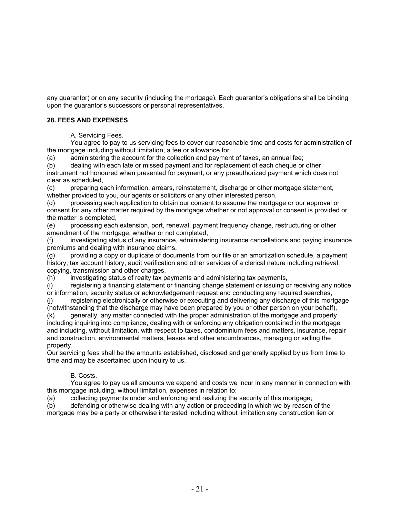any guarantor) or on any security (including the mortgage). Each guarantor's obligations shall be binding upon the guarantor's successors or personal representatives.

## **28. FEES AND EXPENSES**

A. Servicing Fees.

 You agree to pay to us servicing fees to cover our reasonable time and costs for administration of the mortgage including without limitation, a fee or allowance for

(a) administering the account for the collection and payment of taxes, an annual fee;

(b) dealing with each late or missed payment and for replacement of each cheque or other instrument not honoured when presented for payment, or any preauthorized payment which does not clear as scheduled,

(c) preparing each information, arrears, reinstatement, discharge or other mortgage statement, whether provided to you, our agents or solicitors or any other interested person,

(d) processing each application to obtain our consent to assume the mortgage or our approval or consent for any other matter required by the mortgage whether or not approval or consent is provided or the matter is completed,

(e) processing each extension, port, renewal, payment frequency change, restructuring or other amendment of the mortgage, whether or not completed,

(f) investigating status of any insurance, administering insurance cancellations and paying insurance premiums and dealing with insurance claims,

(g) providing a copy or duplicate of documents from our file or an amortization schedule, a payment history, tax account history, audit verification and other services of a clerical nature including retrieval, copying, transmission and other charges,

(h) investigating status of realty tax payments and administering tax payments,

(i) registering a financing statement or financing change statement or issuing or receiving any notice or information, security status or acknowledgement request and conducting any required searches,

(j) registering electronically or otherwise or executing and delivering any discharge of this mortgage (notwithstanding that the discharge may have been prepared by you or other person on your behalf),

(k) generally, any matter connected with the proper administration of the mortgage and property including inquiring into compliance, dealing with or enforcing any obligation contained in the mortgage and including, without limitation, with respect to taxes, condominium fees and matters, insurance, repair and construction, environmental matters, leases and other encumbrances, managing or selling the property.

Our servicing fees shall be the amounts established, disclosed and generally applied by us from time to time and may be ascertained upon inquiry to us.

### B. Costs.

 You agree to pay us all amounts we expend and costs we incur in any manner in connection with this mortgage including, without limitation, expenses in relation to:

(a) collecting payments under and enforcing and realizing the security of this mortgage;

(b) defending or otherwise dealing with any action or proceeding in which we by reason of the mortgage may be a party or otherwise interested including without limitation any construction lien or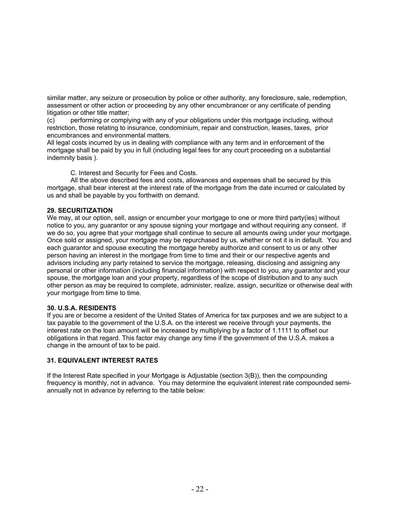similar matter, any seizure or prosecution by police or other authority, any foreclosure, sale, redemption, assessment or other action or proceeding by any other encumbrancer or any certificate of pending litigation or other title matter;

(c) performing or complying with any of your obligations under this mortgage including, without restriction, those relating to insurance, condominium, repair and construction, leases, taxes, prior encumbrances and environmental matters.

All legal costs incurred by us in dealing with compliance with any term and in enforcement of the mortgage shall be paid by you in full (including legal fees for any court proceeding on a substantial indemnity basis ).

C. Interest and Security for Fees and Costs.

 All the above described fees and costs, allowances and expenses shall be secured by this mortgage, shall bear interest at the interest rate of the mortgage from the date incurred or calculated by us and shall be payable by you forthwith on demand.

### **29. SECURITIZATION**

We may, at our option, sell, assign or encumber your mortgage to one or more third party(ies) without notice to you, any guarantor or any spouse signing your mortgage and without requiring any consent. If we do so, you agree that your mortgage shall continue to secure all amounts owing under your mortgage. Once sold or assigned, your mortgage may be repurchased by us, whether or not it is in default. You and each guarantor and spouse executing the mortgage hereby authorize and consent to us or any other person having an interest in the mortgage from time to time and their or our respective agents and advisors including any party retained to service the mortgage, releasing, disclosing and assigning any personal or other information (including financial information) with respect to you, any guarantor and your spouse, the mortgage loan and your property, regardless of the scope of distribution and to any such other person as may be required to complete, administer, realize, assign, securitize or otherwise deal with your mortgage from time to time.

### **30. U.S.A. RESIDENTS**

If you are or become a resident of the United States of America for tax purposes and we are subject to a tax payable to the government of the U.S.A. on the interest we receive through your payments, the interest rate on the loan amount will be increased by multiplying by a factor of 1.1111 to offset our obligations in that regard. This factor may change any time if the government of the U.S.A. makes a change in the amount of tax to be paid.

### **31. EQUIVALENT INTEREST RATES**

If the Interest Rate specified in your Mortgage is Adjustable (section 3(B)), then the compounding frequency is monthly, not in advance. You may determine the equivalent interest rate compounded semiannually not in advance by referring to the table below: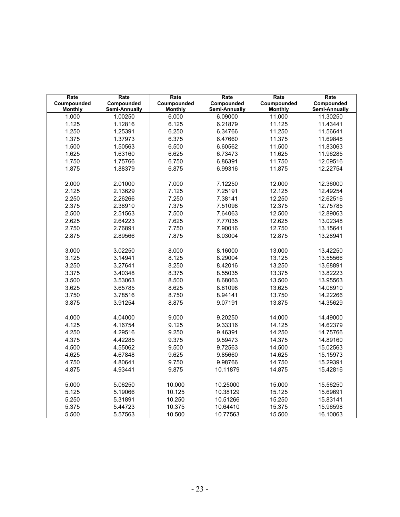| Rate<br>Coumpounded | Rate<br>Compounded | Rate<br>Coumpounded | Rate<br>Compounded | Rate<br>Coumpounded | Rate<br>Compounded |
|---------------------|--------------------|---------------------|--------------------|---------------------|--------------------|
| <b>Monthly</b>      | Semi-Annually      | <b>Monthly</b>      | Semi-Annually      | <b>Monthly</b>      | Semi-Annually      |
| 1.000               | 1.00250            | 6.000               | 6.09000            | 11.000              | 11.30250           |
| 1.125               | 1.12816            | 6.125               | 6.21879            | 11.125              | 11.43441           |
| 1.250               | 1.25391            | 6.250               | 6.34766            | 11.250              | 11.56641           |
| 1.375               | 1.37973            | 6.375               | 6.47660            | 11.375              | 11.69848           |
| 1.500               | 1.50563            | 6.500               | 6.60562            | 11.500              | 11.83063           |
| 1.625               | 1.63160            | 6.625               | 6.73473            | 11.625              | 11.96285           |
| 1.750               | 1.75766            | 6.750               | 6.86391            | 11.750              | 12.09516           |
| 1.875               | 1.88379            | 6.875               | 6.99316            | 11.875              | 12.22754           |
|                     |                    |                     |                    |                     |                    |
| 2.000               | 2.01000            | 7.000               | 7.12250            | 12.000              | 12.36000           |
| 2.125               | 2.13629            | 7.125               | 7.25191            | 12.125              | 12.49254           |
| 2.250               | 2.26266            | 7.250               | 7.38141            | 12.250              | 12.62516           |
| 2.375               | 2.38910            | 7.375               | 7.51098            | 12.375              | 12.75785           |
| 2.500               | 2.51563            | 7.500               | 7.64063            | 12.500              | 12.89063           |
| 2.625               | 2.64223            | 7.625               | 7.77035            | 12.625              | 13.02348           |
| 2.750               | 2.76891            | 7.750               | 7.90016            | 12.750              | 13.15641           |
| 2.875               | 2.89566            | 7.875               | 8.03004            | 12.875              | 13.28941           |
|                     |                    |                     |                    |                     |                    |
| 3.000               | 3.02250            | 8.000               | 8.16000            | 13.000              | 13.42250           |
| 3.125               | 3.14941            | 8.125               | 8.29004            | 13.125              | 13.55566           |
| 3.250               | 3.27641            | 8.250               | 8.42016            | 13.250              | 13.68891           |
| 3.375               | 3.40348            | 8.375               | 8.55035            | 13.375              | 13.82223           |
| 3.500               | 3.53063            | 8.500               | 8.68063            | 13.500              | 13.95563           |
| 3.625               | 3.65785            | 8.625               | 8.81098            | 13.625              | 14.08910           |
| 3.750               | 3.78516            | 8.750               | 8.94141            | 13.750              | 14.22266           |
| 3.875               | 3.91254            | 8.875               | 9.07191            | 13.875              | 14.35629           |
|                     |                    |                     |                    |                     |                    |
| 4.000               | 4.04000            | 9.000               | 9.20250            | 14.000              | 14.49000           |
| 4.125               | 4.16754            | 9.125               | 9.33316            | 14.125              | 14.62379           |
| 4.250               | 4.29516            | 9.250               | 9.46391            | 14.250              | 14.75766           |
| 4.375               | 4.42285            | 9.375               | 9.59473            | 14.375              | 14.89160           |
| 4.500               | 4.55062            | 9.500               | 9.72563            | 14.500              | 15.02563           |
| 4.625               | 4.67848            | 9.625               | 9.85660            | 14.625              | 15.15973           |
| 4.750               | 4.80641            | 9.750               | 9.98766            | 14.750              | 15.29391           |
| 4.875               | 4.93441            | 9.875               | 10.11879           | 14.875              | 15.42816           |
|                     |                    |                     |                    |                     |                    |
| 5.000               | 5.06250            | 10.000              | 10.25000           | 15.000              | 15.56250           |
| 5.125               | 5.19066            | 10.125              | 10.38129           | 15.125              | 15.69691           |
| 5.250               | 5.31891            | 10.250              | 10.51266           | 15.250              | 15.83141           |
| 5.375               | 5.44723            | 10.375              | 10.64410           | 15.375              | 15.96598           |
| 5.500               | 5.57563            | 10.500              | 10.77563           | 15.500              | 16.10063           |